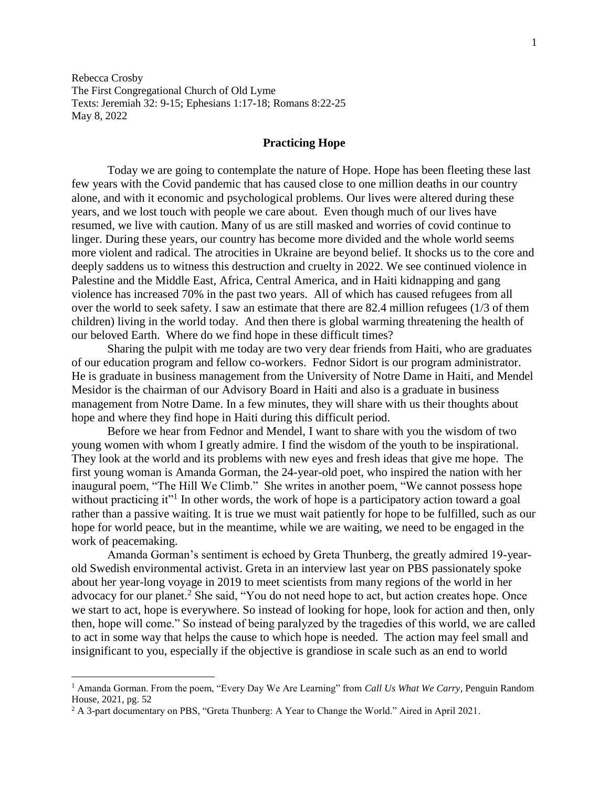Rebecca Crosby The First Congregational Church of Old Lyme Texts: Jeremiah 32: 9-15; Ephesians 1:17-18; Romans 8:22-25 May 8, 2022

## **Practicing Hope**

Today we are going to contemplate the nature of Hope. Hope has been fleeting these last few years with the Covid pandemic that has caused close to one million deaths in our country alone, and with it economic and psychological problems. Our lives were altered during these years, and we lost touch with people we care about. Even though much of our lives have resumed, we live with caution. Many of us are still masked and worries of covid continue to linger. During these years, our country has become more divided and the whole world seems more violent and radical. The atrocities in Ukraine are beyond belief. It shocks us to the core and deeply saddens us to witness this destruction and cruelty in 2022. We see continued violence in Palestine and the Middle East, Africa, Central America, and in Haiti kidnapping and gang violence has increased 70% in the past two years. All of which has caused refugees from all over the world to seek safety. I saw an estimate that there are 82.4 million refugees (1/3 of them children) living in the world today. And then there is global warming threatening the health of our beloved Earth. Where do we find hope in these difficult times?

Sharing the pulpit with me today are two very dear friends from Haiti, who are graduates of our education program and fellow co-workers. Fednor Sidort is our program administrator. He is graduate in business management from the University of Notre Dame in Haiti, and Mendel Mesidor is the chairman of our Advisory Board in Haiti and also is a graduate in business management from Notre Dame. In a few minutes, they will share with us their thoughts about hope and where they find hope in Haiti during this difficult period.

Before we hear from Fednor and Mendel, I want to share with you the wisdom of two young women with whom I greatly admire. I find the wisdom of the youth to be inspirational. They look at the world and its problems with new eyes and fresh ideas that give me hope. The first young woman is Amanda Gorman, the 24-year-old poet, who inspired the nation with her inaugural poem, "The Hill We Climb." She writes in another poem, "We cannot possess hope without practicing it"<sup>1</sup> In other words, the work of hope is a participatory action toward a goal rather than a passive waiting. It is true we must wait patiently for hope to be fulfilled, such as our hope for world peace, but in the meantime, while we are waiting, we need to be engaged in the work of peacemaking.

Amanda Gorman's sentiment is echoed by Greta Thunberg, the greatly admired 19-yearold Swedish environmental activist. Greta in an interview last year on PBS passionately spoke about her year-long voyage in 2019 to meet scientists from many regions of the world in her advocacy for our planet.<sup>2</sup> She said, "You do not need hope to act, but action creates hope. Once we start to act, hope is everywhere. So instead of looking for hope, look for action and then, only then, hope will come." So instead of being paralyzed by the tragedies of this world, we are called to act in some way that helps the cause to which hope is needed. The action may feel small and insignificant to you, especially if the objective is grandiose in scale such as an end to world

 $\overline{\phantom{a}}$ 

<sup>1</sup> Amanda Gorman. From the poem, "Every Day We Are Learning" from *Call Us What We Carry*, Penguin Random House, 2021, pg. 52

<sup>2</sup> A 3-part documentary on PBS, "Greta Thunberg: A Year to Change the World." Aired in April 2021.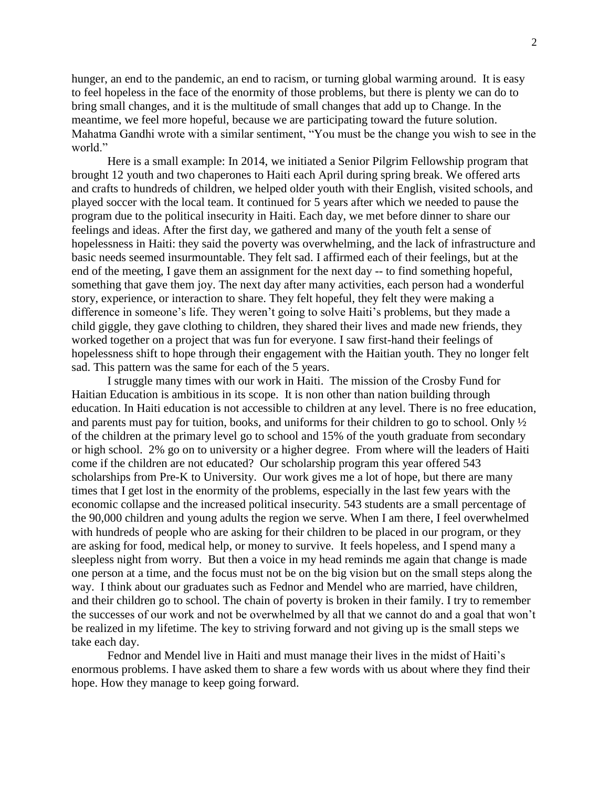hunger, an end to the pandemic, an end to racism, or turning global warming around. It is easy to feel hopeless in the face of the enormity of those problems, but there is plenty we can do to bring small changes, and it is the multitude of small changes that add up to Change. In the meantime, we feel more hopeful, because we are participating toward the future solution. Mahatma Gandhi wrote with a similar sentiment, "You must be the change you wish to see in the world."

Here is a small example: In 2014, we initiated a Senior Pilgrim Fellowship program that brought 12 youth and two chaperones to Haiti each April during spring break. We offered arts and crafts to hundreds of children, we helped older youth with their English, visited schools, and played soccer with the local team. It continued for 5 years after which we needed to pause the program due to the political insecurity in Haiti. Each day, we met before dinner to share our feelings and ideas. After the first day, we gathered and many of the youth felt a sense of hopelessness in Haiti: they said the poverty was overwhelming, and the lack of infrastructure and basic needs seemed insurmountable. They felt sad. I affirmed each of their feelings, but at the end of the meeting, I gave them an assignment for the next day -- to find something hopeful, something that gave them joy. The next day after many activities, each person had a wonderful story, experience, or interaction to share. They felt hopeful, they felt they were making a difference in someone's life. They weren't going to solve Haiti's problems, but they made a child giggle, they gave clothing to children, they shared their lives and made new friends, they worked together on a project that was fun for everyone. I saw first-hand their feelings of hopelessness shift to hope through their engagement with the Haitian youth. They no longer felt sad. This pattern was the same for each of the 5 years.

I struggle many times with our work in Haiti. The mission of the Crosby Fund for Haitian Education is ambitious in its scope. It is non other than nation building through education. In Haiti education is not accessible to children at any level. There is no free education, and parents must pay for tuition, books, and uniforms for their children to go to school. Only ½ of the children at the primary level go to school and 15% of the youth graduate from secondary or high school. 2% go on to university or a higher degree. From where will the leaders of Haiti come if the children are not educated? Our scholarship program this year offered 543 scholarships from Pre-K to University. Our work gives me a lot of hope, but there are many times that I get lost in the enormity of the problems, especially in the last few years with the economic collapse and the increased political insecurity. 543 students are a small percentage of the 90,000 children and young adults the region we serve. When I am there, I feel overwhelmed with hundreds of people who are asking for their children to be placed in our program, or they are asking for food, medical help, or money to survive. It feels hopeless, and I spend many a sleepless night from worry. But then a voice in my head reminds me again that change is made one person at a time, and the focus must not be on the big vision but on the small steps along the way. I think about our graduates such as Fednor and Mendel who are married, have children, and their children go to school. The chain of poverty is broken in their family. I try to remember the successes of our work and not be overwhelmed by all that we cannot do and a goal that won't be realized in my lifetime. The key to striving forward and not giving up is the small steps we take each day.

Fednor and Mendel live in Haiti and must manage their lives in the midst of Haiti's enormous problems. I have asked them to share a few words with us about where they find their hope. How they manage to keep going forward.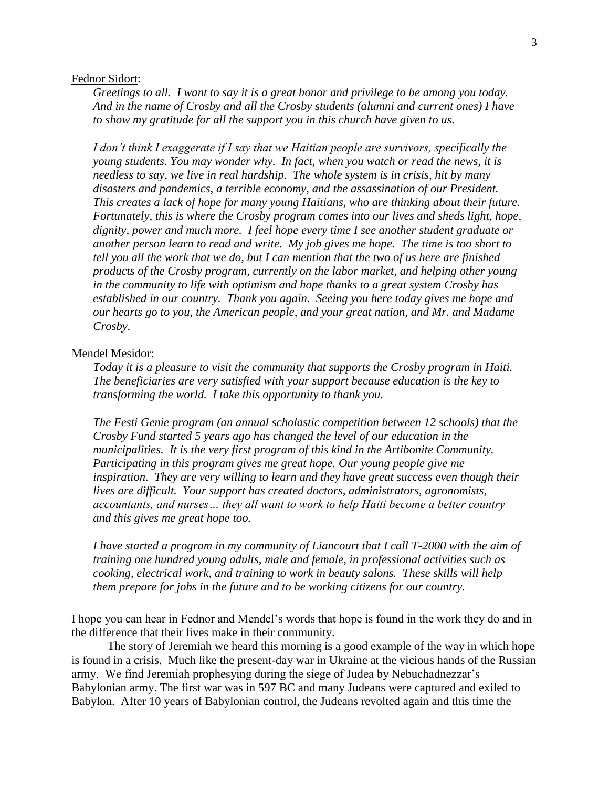## Fednor Sidort:

*Greetings to all. I want to say it is a great honor and privilege to be among you today. And in the name of Crosby and all the Crosby students (alumni and current ones) I have to show my gratitude for all the support you in this church have given to us.*

*I don't think I exaggerate if I say that we Haitian people are survivors, specifically the young students. You may wonder why. In fact, when you watch or read the news, it is needless to say, we live in real hardship. The whole system is in crisis, hit by many disasters and pandemics, a terrible economy, and the assassination of our President. This creates a lack of hope for many young Haitians, who are thinking about their future. Fortunately, this is where the Crosby program comes into our lives and sheds light, hope, dignity, power and much more. I feel hope every time I see another student graduate or another person learn to read and write. My job gives me hope. The time is too short to tell you all the work that we do, but I can mention that the two of us here are finished products of the Crosby program, currently on the labor market, and helping other young in the community to life with optimism and hope thanks to a great system Crosby has established in our country. Thank you again. Seeing you here today gives me hope and our hearts go to you, the American people, and your great nation, and Mr. and Madame Crosby.*

## Mendel Mesidor:

*Today it is a pleasure to visit the community that supports the Crosby program in Haiti. The beneficiaries are very satisfied with your support because education is the key to transforming the world. I take this opportunity to thank you.*

*The Festi Genie program (an annual scholastic competition between 12 schools) that the Crosby Fund started 5 years ago has changed the level of our education in the municipalities. It is the very first program of this kind in the Artibonite Community. Participating in this program gives me great hope. Our young people give me inspiration. They are very willing to learn and they have great success even though their lives are difficult. Your support has created doctors, administrators, agronomists, accountants, and nurses… they all want to work to help Haiti become a better country and this gives me great hope too.*

*I have started a program in my community of Liancourt that I call T-2000 with the aim of training one hundred young adults, male and female, in professional activities such as cooking, electrical work, and training to work in beauty salons. These skills will help them prepare for jobs in the future and to be working citizens for our country.* 

I hope you can hear in Fednor and Mendel's words that hope is found in the work they do and in the difference that their lives make in their community.

The story of Jeremiah we heard this morning is a good example of the way in which hope is found in a crisis. Much like the present-day war in Ukraine at the vicious hands of the Russian army. We find Jeremiah prophesying during the siege of Judea by Nebuchadnezzar's Babylonian army. The first war was in 597 BC and many Judeans were captured and exiled to Babylon. After 10 years of Babylonian control, the Judeans revolted again and this time the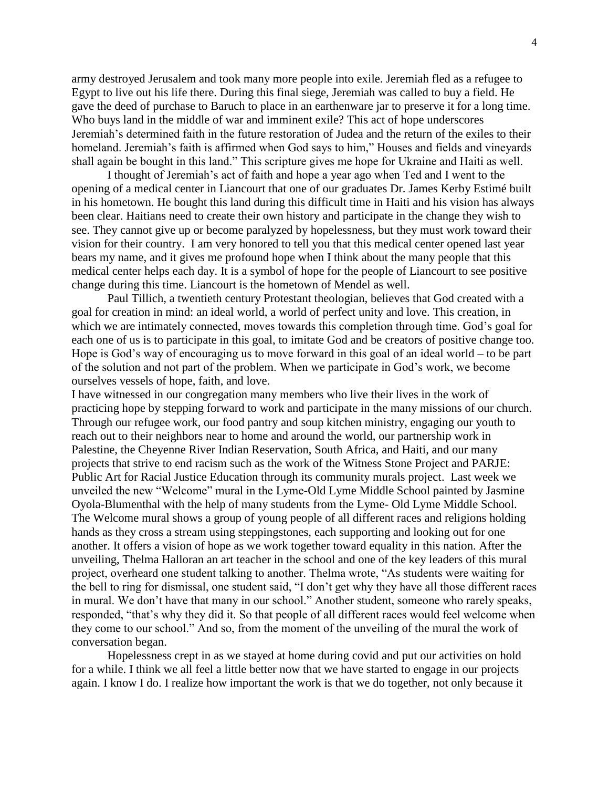army destroyed Jerusalem and took many more people into exile. Jeremiah fled as a refugee to Egypt to live out his life there. During this final siege, Jeremiah was called to buy a field. He gave the deed of purchase to Baruch to place in an earthenware jar to preserve it for a long time. Who buys land in the middle of war and imminent exile? This act of hope underscores Jeremiah's determined faith in the future restoration of Judea and the return of the exiles to their homeland. Jeremiah's faith is affirmed when God says to him," Houses and fields and vineyards shall again be bought in this land." This scripture gives me hope for Ukraine and Haiti as well.

I thought of Jeremiah's act of faith and hope a year ago when Ted and I went to the opening of a medical center in Liancourt that one of our graduates Dr. James Kerby Estimé built in his hometown. He bought this land during this difficult time in Haiti and his vision has always been clear. Haitians need to create their own history and participate in the change they wish to see. They cannot give up or become paralyzed by hopelessness, but they must work toward their vision for their country. I am very honored to tell you that this medical center opened last year bears my name, and it gives me profound hope when I think about the many people that this medical center helps each day. It is a symbol of hope for the people of Liancourt to see positive change during this time. Liancourt is the hometown of Mendel as well.

Paul Tillich, a twentieth century Protestant theologian, believes that God created with a goal for creation in mind: an ideal world, a world of perfect unity and love. This creation, in which we are intimately connected, moves towards this completion through time. God's goal for each one of us is to participate in this goal, to imitate God and be creators of positive change too. Hope is God's way of encouraging us to move forward in this goal of an ideal world – to be part of the solution and not part of the problem. When we participate in God's work, we become ourselves vessels of hope, faith, and love.

I have witnessed in our congregation many members who live their lives in the work of practicing hope by stepping forward to work and participate in the many missions of our church. Through our refugee work, our food pantry and soup kitchen ministry, engaging our youth to reach out to their neighbors near to home and around the world, our partnership work in Palestine, the Cheyenne River Indian Reservation, South Africa, and Haiti, and our many projects that strive to end racism such as the work of the Witness Stone Project and PARJE: Public Art for Racial Justice Education through its community murals project. Last week we unveiled the new "Welcome" mural in the Lyme-Old Lyme Middle School painted by Jasmine Oyola-Blumenthal with the help of many students from the Lyme- Old Lyme Middle School. The Welcome mural shows a group of young people of all different races and religions holding hands as they cross a stream using steppingstones, each supporting and looking out for one another. It offers a vision of hope as we work together toward equality in this nation. After the unveiling, Thelma Halloran an art teacher in the school and one of the key leaders of this mural project, overheard one student talking to another. Thelma wrote, "As students were waiting for the bell to ring for dismissal, one student said, "I don't get why they have all those different races in mural. We don't have that many in our school." Another student, someone who rarely speaks, responded, "that's why they did it. So that people of all different races would feel welcome when they come to our school." And so, from the moment of the unveiling of the mural the work of conversation began.

Hopelessness crept in as we stayed at home during covid and put our activities on hold for a while. I think we all feel a little better now that we have started to engage in our projects again. I know I do. I realize how important the work is that we do together, not only because it